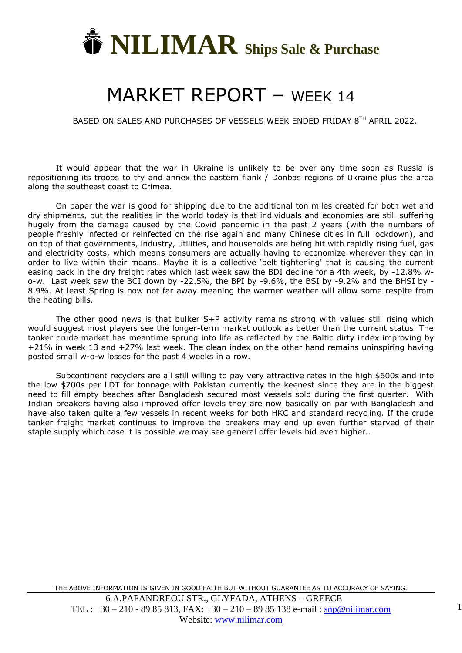

## MARKET REPORT – WEEK 14

BASED ON SALES AND PURCHASES OF VESSELS WEEK ENDED FRIDAY 8TH APRIL 2022.

It would appear that the war in Ukraine is unlikely to be over any time soon as Russia is repositioning its troops to try and annex the eastern flank / Donbas regions of Ukraine plus the area along the southeast coast to Crimea.

On paper the war is good for shipping due to the additional ton miles created for both wet and dry shipments, but the realities in the world today is that individuals and economies are still suffering hugely from the damage caused by the Covid pandemic in the past 2 years (with the numbers of people freshly infected or reinfected on the rise again and many Chinese cities in full lockdown), and on top of that governments, industry, utilities, and households are being hit with rapidly rising fuel, gas and electricity costs, which means consumers are actually having to economize wherever they can in order to live within their means. Maybe it is a collective 'belt tightening' that is causing the current easing back in the dry freight rates which last week saw the BDI decline for a 4th week, by -12.8% wo-w. Last week saw the BCI down by -22.5%, the BPI by -9.6%, the BSI by -9.2% and the BHSI by - 8.9%. At least Spring is now not far away meaning the warmer weather will allow some respite from the heating bills.

The other good news is that bulker S+P activity remains strong with values still rising which would suggest most players see the longer-term market outlook as better than the current status. The tanker crude market has meantime sprung into life as reflected by the Baltic dirty index improving by +21% in week 13 and +27% last week. The clean index on the other hand remains uninspiring having posted small w-o-w losses for the past 4 weeks in a row.

Subcontinent recyclers are all still willing to pay very attractive rates in the high \$600s and into the low \$700s per LDT for tonnage with Pakistan currently the keenest since they are in the biggest need to fill empty beaches after Bangladesh secured most vessels sold during the first quarter. With Indian breakers having also improved offer levels they are now basically on par with Bangladesh and have also taken quite a few vessels in recent weeks for both HKC and standard recycling. If the crude tanker freight market continues to improve the breakers may end up even further starved of their staple supply which case it is possible we may see general offer levels bid even higher..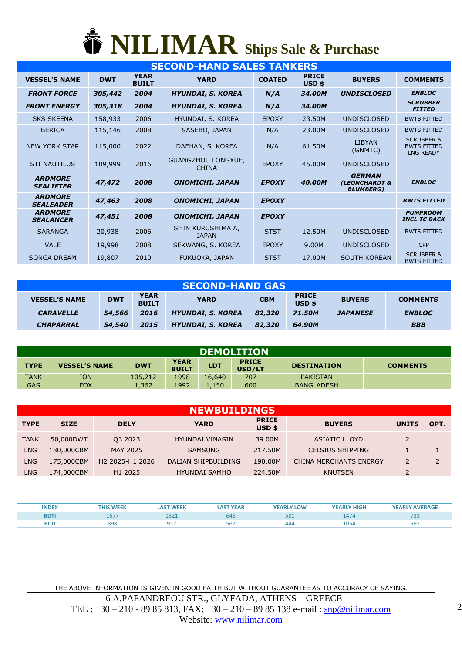## **NILIMAR Ships Sale & Purchase**

|                                    |            |                             | <b>SECOND-HAND SALES TANKERS</b>          |               |                        |                                                    |                                                                 |
|------------------------------------|------------|-----------------------------|-------------------------------------------|---------------|------------------------|----------------------------------------------------|-----------------------------------------------------------------|
| <b>VESSEL'S NAME</b>               | <b>DWT</b> | <b>YEAR</b><br><b>BUILT</b> | <b>YARD</b>                               | <b>COATED</b> | <b>PRICE</b><br>USD \$ | <b>BUYERS</b>                                      | <b>COMMENTS</b>                                                 |
| <b>FRONT FORCE</b>                 | 305,442    | 2004                        | <b>HYUNDAI, S. KOREA</b>                  | N/A           | 34.00M                 | <b>UNDISCLOSED</b>                                 | <b>ENBLOC</b>                                                   |
| <b>FRONT ENERGY</b>                | 305,318    | 2004                        | <b>HYUNDAI, S. KOREA</b>                  | N/A           | 34.00M                 |                                                    | <b>SCRUBBER</b><br><b>FITTED</b>                                |
| <b>SKS SKEENA</b>                  | 158,933    | 2006                        | HYUNDAI, S. KOREA                         | <b>EPOXY</b>  | 23.50M                 | <b>UNDISCLOSED</b>                                 | <b>BWTS FITTED</b>                                              |
| <b>BERICA</b>                      | 115,146    | 2008                        | SASEBO, JAPAN                             | N/A           | 23,00M                 | <b>UNDISCLOSED</b>                                 | <b>BWTS FITTED</b>                                              |
| <b>NEW YORK STAR</b>               | 115,000    | 2022                        | DAEHAN, S. KOREA                          | N/A           | 61.50M                 | <b>LIBYAN</b><br>(GNMTC)                           | <b>SCRUBBER &amp;</b><br><b>BWTS FITTED</b><br><b>LNG READY</b> |
| <b>STI NAUTILUS</b>                | 109,999    | 2016                        | <b>GUANGZHOU LONGXUE,</b><br><b>CHINA</b> | <b>EPOXY</b>  | 45.00M                 | <b>UNDISCLOSED</b>                                 |                                                                 |
| <b>ARDMORE</b><br><b>SEALIFTER</b> | 47,472     | 2008                        | <b>ONOMICHI, JAPAN</b>                    | <b>EPOXY</b>  | 40.00M                 | <b>GERMAN</b><br>(LEONCHARDT &<br><b>BLUMBERG)</b> | <b>ENBLOC</b>                                                   |
| <b>ARDMORE</b><br><b>SEALEADER</b> | 47,463     | 2008                        | <b>ONOMICHI, JAPAN</b>                    | <b>EPOXY</b>  |                        |                                                    | <b>BWTS FITTED</b>                                              |
| <b>ARDMORE</b><br><b>SEALANCER</b> | 47,451     | 2008                        | <b>ONOMICHI, JAPAN</b>                    | <b>EPOXY</b>  |                        |                                                    | <b>PUMPROOM</b><br><b>INCL TC BACK</b>                          |
| <b>SARANGA</b>                     | 20,938     | 2006                        | SHIN KURUSHIMA A,<br><b>JAPAN</b>         | <b>STST</b>   | 12.50M                 | <b>UNDISCLOSED</b>                                 | <b>BWTS FITTED</b>                                              |
| <b>VALE</b>                        | 19,998     | 2008                        | SEKWANG, S. KOREA                         | <b>EPOXY</b>  | 9.00M                  | <b>UNDISCLOSED</b>                                 | <b>CPP</b>                                                      |
| <b>SONGA DREAM</b>                 | 19,807     | 2010                        | FUKUOKA, JAPAN                            | <b>STST</b>   | 17.00M                 | <b>SOUTH KOREAN</b>                                | <b>SCRUBBER &amp;</b><br><b>BWTS FITTED</b>                     |

| <b>SECOND-HAND GAS</b> |            |                             |                          |            |                        |                 |                 |  |  |  |  |
|------------------------|------------|-----------------------------|--------------------------|------------|------------------------|-----------------|-----------------|--|--|--|--|
| <b>VESSEL'S NAME</b>   | <b>DWT</b> | <b>YEAR</b><br><b>BUILT</b> | <b>YARD</b>              | <b>CBM</b> | <b>PRICE</b><br>USD \$ | <b>BUYERS</b>   | <b>COMMENTS</b> |  |  |  |  |
| <b>CARAVELLE</b>       | 54,566     | 2016                        | <b>HYUNDAI, S. KOREA</b> | 82,320     | <b>71.50M</b>          | <b>JAPANESE</b> | <b>ENBLOC</b>   |  |  |  |  |
| <b>CHAPARRAL</b>       | 54,540     | 2015                        | <b>HYUNDAI, S. KOREA</b> | 82,320     | 64.90M                 |                 | <b>BBB</b>      |  |  |  |  |

|             | <b>DEMOLITION</b>    |            |                             |            |                        |                    |                 |  |  |  |  |
|-------------|----------------------|------------|-----------------------------|------------|------------------------|--------------------|-----------------|--|--|--|--|
| <b>TYPE</b> | <b>VESSEL'S NAME</b> | <b>DWT</b> | <b>YEAR</b><br><b>BUILT</b> | <b>LDT</b> | <b>PRICE</b><br>USD/LT | <b>DESTINATION</b> | <b>COMMENTS</b> |  |  |  |  |
| <b>TANK</b> | ION                  | 105,212    | 1998                        | 16,640     | 707                    | <b>PAKISTAN</b>    |                 |  |  |  |  |
| <b>GAS</b>  | FOX                  | 1,362      | 1992                        | l,150      | 600                    | <b>BANGLADESH</b>  |                 |  |  |  |  |

|             | <b>NEWBUILDINGS</b> |                                         |                        |                          |                         |                |      |  |  |  |  |  |  |
|-------------|---------------------|-----------------------------------------|------------------------|--------------------------|-------------------------|----------------|------|--|--|--|--|--|--|
| <b>TYPE</b> | <b>SIZE</b>         | <b>DELY</b>                             | <b>YARD</b>            | <b>PRICE</b><br>$USD$ \$ | <b>BUYERS</b>           | <b>UNITS</b>   | OPT. |  |  |  |  |  |  |
| <b>TANK</b> | 50,000DWT           | 03 2023                                 | <b>HYUNDAI VINASIN</b> | 39,00M                   | <b>ASIATIC LLOYD</b>    | $\overline{2}$ |      |  |  |  |  |  |  |
| <b>LNG</b>  | 180,000CBM          | MAY 2025                                | <b>SAMSUNG</b>         | 217.50M                  | <b>CELSIUS SHIPPING</b> |                |      |  |  |  |  |  |  |
| LNG         | 175,000CBM          | H <sub>2</sub> 2025-H <sub>1</sub> 2026 | DALIAN SHIPBUILDING    | 190.00M                  | CHINA MERCHANTS ENERGY  | $\overline{2}$ |      |  |  |  |  |  |  |
| LNG         | 174,000CBM          | H1 2025                                 | <b>HYUNDAI SAMHO</b>   | 224.50M                  | <b>KNUTSEN</b>          | $\overline{2}$ |      |  |  |  |  |  |  |

| <b>INDEX</b> | THIS WEEK | <b>AST WEEK</b><br>تـAS | <b>AST YEAR</b> | <b>YEARLY LOW</b> | <b>YEARLY HIGH</b> | <b>YEARLY AVERAGE</b> |
|--------------|-----------|-------------------------|-----------------|-------------------|--------------------|-----------------------|
| <b>BDTI</b>  | 10 L      |                         | 646             | 581               | 147                | 733                   |
| <b>BCTI</b>  | 898       | --                      | 56.             | 444               | 1054               | $\mathbf{r}$<br>ココム   |

THE ABOVE INFORMATION IS GIVEN IN GOOD FAITH BUT WITHOUT GUARANTEE AS TO ACCURACY OF SAYING. 6 A.PAPANDREOU STR., GLYFADA, ATHENS – GREECE TEL :  $+30 - 210 - 8985813$ , FAX:  $+30 - 210 - 8985138$  e-mail : [snp@nilimar.com](mailto:snp@nilimar.com) Website: [www.nilimar.com](http://www.nilimar.com/)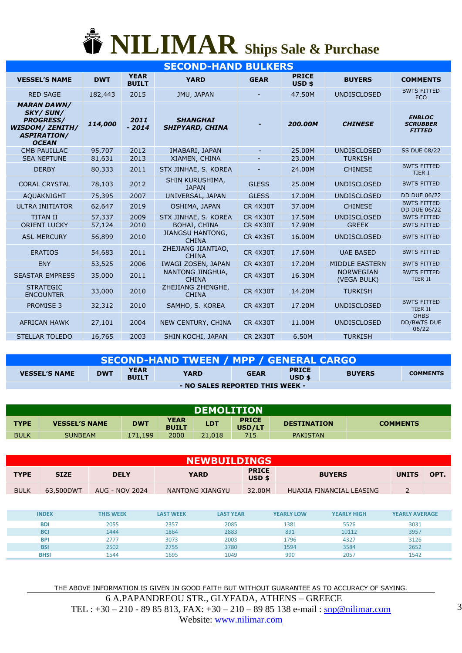

| <b>SECOND-HAND BULKERS</b>                                                                                                |            |                             |                                           |                          |                                   |                                 |                                                   |  |  |  |  |
|---------------------------------------------------------------------------------------------------------------------------|------------|-----------------------------|-------------------------------------------|--------------------------|-----------------------------------|---------------------------------|---------------------------------------------------|--|--|--|--|
| <b>VESSEL'S NAME</b>                                                                                                      | <b>DWT</b> | <b>YEAR</b><br><b>BUILT</b> | <b>YARD</b>                               | <b>GEAR</b>              | <b>PRICE</b><br>USD <sub>\$</sub> | <b>BUYERS</b>                   | <b>COMMENTS</b>                                   |  |  |  |  |
| <b>RED SAGE</b>                                                                                                           | 182,443    | 2015                        | JMU, JAPAN                                |                          | 47.50M                            | <b>UNDISCLOSED</b>              | <b>BWTS FITTED</b><br><b>ECO</b>                  |  |  |  |  |
| <b>MARAN DAWN/</b><br><b>SKY/SUN/</b><br><b>PROGRESS/</b><br><b>WISDOM/ ZENITH/</b><br><b>ASPIRATION/</b><br><b>OCEAN</b> | 114,000    | 2011<br>$-2014$             | <b>SHANGHAI</b><br><b>SHIPYARD, CHINA</b> |                          | 200.00M                           | <b>CHINESE</b>                  | <b>ENBLOC</b><br><b>SCRUBBER</b><br><b>FITTED</b> |  |  |  |  |
| <b>CMB PAUILLAC</b>                                                                                                       | 95,707     | 2012                        | IMABARI, JAPAN                            | $\overline{\phantom{a}}$ | 25.00M                            | <b>UNDISCLOSED</b>              | <b>SS DUE 08/22</b>                               |  |  |  |  |
| <b>SEA NEPTUNE</b>                                                                                                        | 81,631     | 2013                        | XIAMEN, CHINA                             | $\overline{\phantom{a}}$ | 23.00M                            | <b>TURKISH</b>                  |                                                   |  |  |  |  |
| <b>DERBY</b>                                                                                                              | 80,333     | 2011                        | STX JINHAE, S. KOREA                      |                          | 24.00M                            | <b>CHINESE</b>                  | <b>BWTS FITTED</b><br><b>TIER I</b>               |  |  |  |  |
| <b>CORAL CRYSTAL</b>                                                                                                      | 78,103     | 2012                        | SHIN KURUSHIMA,<br><b>JAPAN</b>           | <b>GLESS</b>             | 25.00M                            | <b>UNDISCLOSED</b>              | <b>BWTS FITTED</b>                                |  |  |  |  |
| <b>AQUAKNIGHT</b>                                                                                                         | 75,395     | 2007                        | UNIVERSAL, JAPAN                          | <b>GLESS</b>             | 17.00M                            | <b>UNDISCLOSED</b>              | <b>DD DUE 06/22</b>                               |  |  |  |  |
| <b>ULTRA INITIATOR</b>                                                                                                    | 62,647     | 2019                        | OSHIMA, JAPAN                             | <b>CR 4X30T</b>          | 37.00M                            | <b>CHINESE</b>                  | <b>BWTS FITTED</b><br><b>DD DUE 06/22</b>         |  |  |  |  |
| <b>TITAN II</b>                                                                                                           | 57,337     | 2009                        | STX JINHAE, S. KOREA                      | <b>CR 4X30T</b>          | 17.50M                            | <b>UNDISCLOSED</b>              | <b>BWTS FITTED</b>                                |  |  |  |  |
| <b>ORIENT LUCKY</b>                                                                                                       | 57,124     | 2010                        | <b>BOHAI, CHINA</b>                       | <b>CR 4X30T</b>          | 17.90M                            | <b>GREEK</b>                    | <b>BWTS FITTED</b>                                |  |  |  |  |
| <b>ASL MERCURY</b>                                                                                                        | 56,899     | 2010                        | <b>JIANGSU HANTONG,</b><br><b>CHINA</b>   | <b>CR 4X36T</b>          | 16.00M                            | <b>UNDISCLOSED</b>              | <b>BWTS FITTED</b>                                |  |  |  |  |
| <b>ERATIOS</b>                                                                                                            | 54,683     | 2011                        | ZHEJIANG JIANTIAO,<br><b>CHINA</b>        | <b>CR 4X30T</b>          | 17.60M                            | <b>UAE BASED</b>                | <b>BWTS FITTED</b>                                |  |  |  |  |
| <b>ENY</b>                                                                                                                | 53,525     | 2006                        | IWAGI ZOSEN, JAPAN                        | <b>CR 4X30T</b>          | 17.20M                            | <b>MIDDLE EASTERN</b>           | <b>BWTS FITTED</b>                                |  |  |  |  |
| <b>SEASTAR EMPRESS</b>                                                                                                    | 35,000     | 2011                        | NANTONG JINGHUA,<br><b>CHINA</b>          | <b>CR 4X30T</b>          | 16.30M                            | <b>NORWEGIAN</b><br>(VEGA BULK) | <b>BWTS FITTED</b><br>TIER II                     |  |  |  |  |
| <b>STRATEGIC</b><br><b>ENCOUNTER</b>                                                                                      | 33,000     | 2010                        | ZHEJIANG ZHENGHE,<br><b>CHINA</b>         | <b>CR 4X30T</b>          | 14.20M                            | <b>TURKISH</b>                  |                                                   |  |  |  |  |
| <b>PROMISE 3</b>                                                                                                          | 32,312     | 2010                        | SAMHO, S. KOREA                           | <b>CR 4X30T</b>          | 17.20M                            | <b>UNDISCLOSED</b>              | <b>BWTS FITTED</b><br><b>TIER II</b>              |  |  |  |  |
| <b>AFRICAN HAWK</b>                                                                                                       | 27,101     | 2004                        | NEW CENTURY, CHINA                        | <b>CR 4X30T</b>          | 11.00M                            | <b>UNDISCLOSED</b>              | <b>OHBS</b><br><b>DD/BWTS DUE</b><br>06/22        |  |  |  |  |
| <b>STELLAR TOLEDO</b>                                                                                                     | 16,765     | 2003                        | SHIN KOCHI, JAPAN                         | <b>CR 2X30T</b>          | 6.50M                             | <b>TURKISH</b>                  |                                                   |  |  |  |  |

| <b>SECOND-HAND TWEEN / MPP / GENERAL CARGO)</b> |            |                             |                                 |             |                          |               |                 |  |  |  |
|-------------------------------------------------|------------|-----------------------------|---------------------------------|-------------|--------------------------|---------------|-----------------|--|--|--|
| <b>VESSEL'S NAME</b>                            | <b>DWT</b> | <b>YEAR</b><br><b>BUILT</b> | <b>YARD</b>                     | <b>GEAR</b> | <b>PRICE</b><br>$USD$ \$ | <b>BUYERS</b> | <b>COMMENTS</b> |  |  |  |
|                                                 |            |                             | - NO SALES REPORTED THIS WEEK - |             |                          |               |                 |  |  |  |

|             | <b>DEMOLITION</b>    |            |                             |            |                        |                    |                 |  |  |  |  |
|-------------|----------------------|------------|-----------------------------|------------|------------------------|--------------------|-----------------|--|--|--|--|
| <b>TYPE</b> | <b>VESSEL'S NAME</b> | <b>DWT</b> | <b>YEAR</b><br><b>BUILT</b> | <b>LDT</b> | <b>PRICE</b><br>USD/LT | <b>DESTINATION</b> | <b>COMMENTS</b> |  |  |  |  |
| <b>BULK</b> | <b>SUNBEAM</b>       | 171.199    | 2000                        | 21,018     | 715.                   | <b>PAKISTAN</b>    |                 |  |  |  |  |

|             | <b>NEWBUILDINGS</b> |                |                        |                        |                          |              |      |  |  |  |  |  |
|-------------|---------------------|----------------|------------------------|------------------------|--------------------------|--------------|------|--|--|--|--|--|
| <b>TYPE</b> | <b>SIZE</b>         | <b>DELY</b>    | <b>YARD</b>            | <b>PRICE</b><br>USD \$ | <b>BUYERS</b>            | <b>UNITS</b> | OPT. |  |  |  |  |  |
| <b>BULK</b> | 63,500DWT           | AUG - NOV 2024 | <b>NANTONG XIANGYU</b> | 32.00M                 | HUAXIA FINANCIAL LEASING |              |      |  |  |  |  |  |

| <b>INDEX</b> | <b>THIS WEEK</b> | <b>LAST WEEK</b> | <b>LAST YEAR</b> | <b>YEARLY LOW</b> | <b>YEARLY HIGH</b> | <b>YEARLY AVERAGE</b> |
|--------------|------------------|------------------|------------------|-------------------|--------------------|-----------------------|
| <b>BDI</b>   | 2055             | 2357             | 2085             | 1381              | 5526               | 3031                  |
| <b>BCI</b>   | 1444             | 1864             | 2883             | 891               | 10112              | 3957                  |
| <b>BPI</b>   | 2777             | 3073             | 2003             | 1796              | 4327               | 3126                  |
| <b>BSI</b>   | 2502             | 2755             | 1780             | 1594              | 3584               | 2652                  |
| <b>BHSI</b>  | 1544             | 1695             | 1049             | 990               | 2057               | 1542                  |

THE ABOVE INFORMATION IS GIVEN IN GOOD FAITH BUT WITHOUT GUARANTEE AS TO ACCURACY OF SAYING. 6 A.PAPANDREOU STR., GLYFADA, ATHENS – GREECE TEL :  $+30 - 210 - 8985813$ , FAX:  $+30 - 210 - 8985138$  e-mail : [snp@nilimar.com](mailto:snp@nilimar.com) Website: [www.nilimar.com](http://www.nilimar.com/)